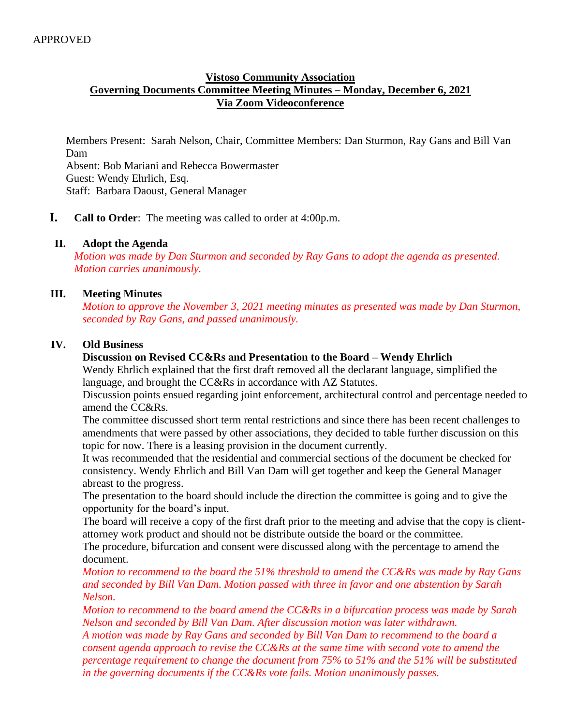## **Vistoso Community Association Governing Documents Committee Meeting Minutes – Monday, December 6, 2021 Via Zoom Videoconference**

Members Present: Sarah Nelson, Chair, Committee Members: Dan Sturmon, Ray Gans and Bill Van Dam Absent: Bob Mariani and Rebecca Bowermaster Guest: Wendy Ehrlich, Esq. Staff: Barbara Daoust, General Manager

**I. Call to Order**: The meeting was called to order at 4:00p.m.

#### **II. Adopt the Agenda**

*Motion was made by Dan Sturmon and seconded by Ray Gans to adopt the agenda as presented. Motion carries unanimously.* 

#### **III. Meeting Minutes**

*Motion to approve the November 3, 2021 meeting minutes as presented was made by Dan Sturmon, seconded by Ray Gans, and passed unanimously.*

#### **IV. Old Business**

### **Discussion on Revised CC&Rs and Presentation to the Board – Wendy Ehrlich**

Wendy Ehrlich explained that the first draft removed all the declarant language, simplified the language, and brought the CC&Rs in accordance with AZ Statutes.

Discussion points ensued regarding joint enforcement, architectural control and percentage needed to amend the CC&Rs.

The committee discussed short term rental restrictions and since there has been recent challenges to amendments that were passed by other associations, they decided to table further discussion on this topic for now. There is a leasing provision in the document currently.

It was recommended that the residential and commercial sections of the document be checked for consistency. Wendy Ehrlich and Bill Van Dam will get together and keep the General Manager abreast to the progress.

The presentation to the board should include the direction the committee is going and to give the opportunity for the board's input.

The board will receive a copy of the first draft prior to the meeting and advise that the copy is clientattorney work product and should not be distribute outside the board or the committee.

The procedure, bifurcation and consent were discussed along with the percentage to amend the document.

*Motion to recommend to the board the 51% threshold to amend the CC&Rs was made by Ray Gans and seconded by Bill Van Dam. Motion passed with three in favor and one abstention by Sarah Nelson.* 

*Motion to recommend to the board amend the CC&Rs in a bifurcation process was made by Sarah Nelson and seconded by Bill Van Dam. After discussion motion was later withdrawn.*

*A motion was made by Ray Gans and seconded by Bill Van Dam to recommend to the board a consent agenda approach to revise the CC&Rs at the same time with second vote to amend the percentage requirement to change the document from 75% to 51% and the 51% will be substituted in the governing documents if the CC&Rs vote fails. Motion unanimously passes.*